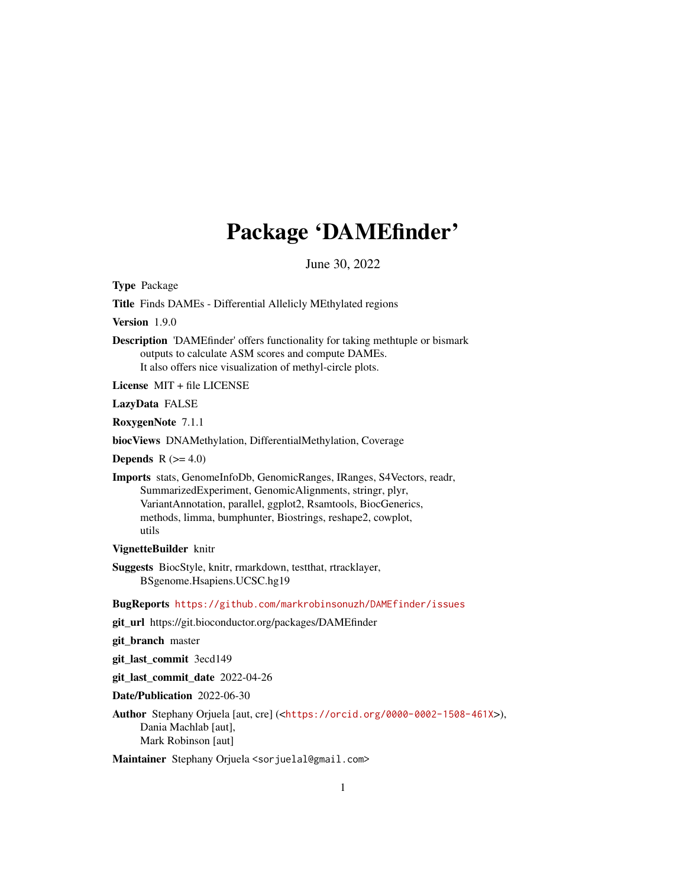# Package 'DAMEfinder'

June 30, 2022

<span id="page-0-0"></span>Type Package

Title Finds DAMEs - Differential Allelicly MEthylated regions

Version 1.9.0

Description 'DAMEfinder' offers functionality for taking methtuple or bismark outputs to calculate ASM scores and compute DAMEs. It also offers nice visualization of methyl-circle plots.

License MIT + file LICENSE

LazyData FALSE

RoxygenNote 7.1.1

biocViews DNAMethylation, DifferentialMethylation, Coverage

**Depends**  $R$  ( $>= 4.0$ )

Imports stats, GenomeInfoDb, GenomicRanges, IRanges, S4Vectors, readr, SummarizedExperiment, GenomicAlignments, stringr, plyr, VariantAnnotation, parallel, ggplot2, Rsamtools, BiocGenerics, methods, limma, bumphunter, Biostrings, reshape2, cowplot, utils

VignetteBuilder knitr

Suggests BiocStyle, knitr, rmarkdown, testthat, rtracklayer, BSgenome.Hsapiens.UCSC.hg19

BugReports <https://github.com/markrobinsonuzh/DAMEfinder/issues>

git\_url https://git.bioconductor.org/packages/DAMEfinder

git\_branch master

git\_last\_commit 3ecd149

git\_last\_commit\_date 2022-04-26

Date/Publication 2022-06-30

Author Stephany Orjuela [aut, cre] (<<https://orcid.org/0000-0002-1508-461X>>), Dania Machlab [aut], Mark Robinson [aut]

Maintainer Stephany Orjuela <sorjuelal@gmail.com>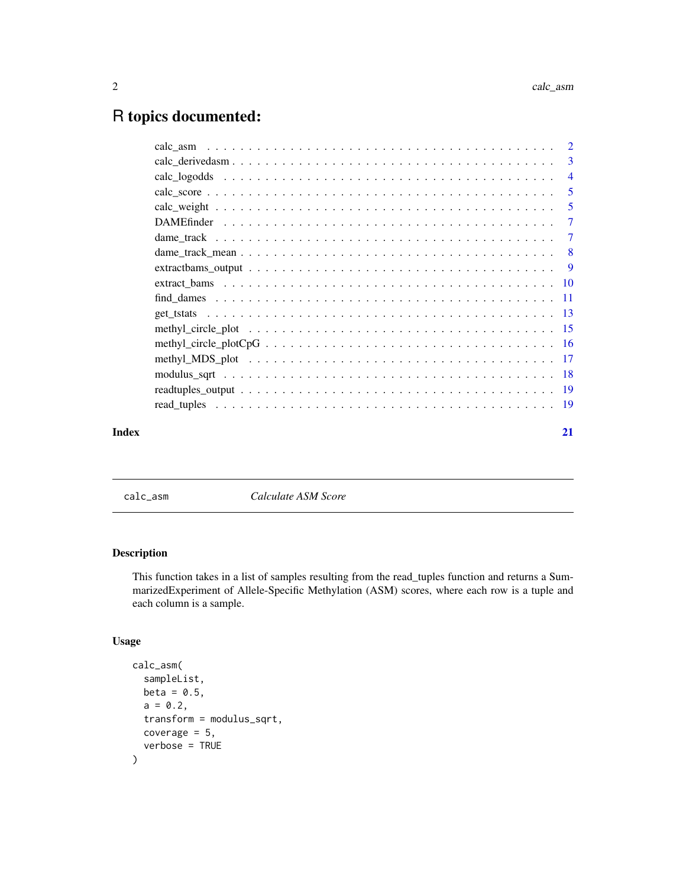# <span id="page-1-0"></span>R topics documented:

|       | $calc\_derivedasm \dots \dots \dots \dots \dots \dots \dots \dots \dots \dots \dots \dots \dots \dots \dots \dots \dots \dots$ |                            |
|-------|--------------------------------------------------------------------------------------------------------------------------------|----------------------------|
|       |                                                                                                                                |                            |
|       |                                                                                                                                | $\overline{\phantom{0}}$ 5 |
|       |                                                                                                                                | - 5                        |
|       |                                                                                                                                | $\overline{7}$             |
|       |                                                                                                                                |                            |
|       |                                                                                                                                |                            |
|       |                                                                                                                                |                            |
|       |                                                                                                                                |                            |
|       |                                                                                                                                |                            |
|       |                                                                                                                                |                            |
|       |                                                                                                                                |                            |
|       |                                                                                                                                |                            |
|       |                                                                                                                                |                            |
|       |                                                                                                                                |                            |
|       |                                                                                                                                |                            |
|       |                                                                                                                                |                            |
| Index |                                                                                                                                | 21                         |

<span id="page-1-1"></span>calc\_asm *Calculate ASM Score*

# Description

This function takes in a list of samples resulting from the read\_tuples function and returns a SummarizedExperiment of Allele-Specific Methylation (ASM) scores, where each row is a tuple and each column is a sample.

```
calc_asm(
  sampleList,
  beta = 0.5,
  a = 0.2,
  transform = modulus_sqrt,
  coverage = 5,
  verbose = TRUE
\mathcal{E}
```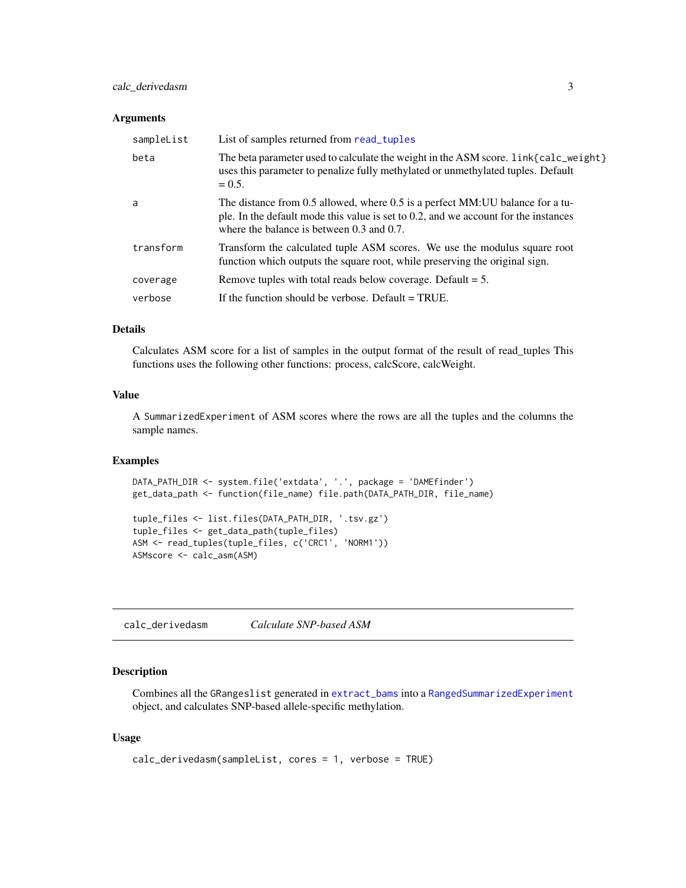# <span id="page-2-0"></span>calc\_derivedasm 3

#### **Arguments**

| sampleList | List of samples returned from read_tuples                                                                                                                                                                             |
|------------|-----------------------------------------------------------------------------------------------------------------------------------------------------------------------------------------------------------------------|
| beta       | The beta parameter used to calculate the weight in the ASM score. link{calc_weight}<br>uses this parameter to penalize fully methylated or unmethylated tuples. Default<br>$= 0.5.$                                   |
| a          | The distance from 0.5 allowed, where 0.5 is a perfect MM: UU balance for a tu-<br>ple. In the default mode this value is set to $0.2$ , and we account for the instances<br>where the balance is between 0.3 and 0.7. |
| transform  | Transform the calculated tuple ASM scores. We use the modulus square root<br>function which outputs the square root, while preserving the original sign.                                                              |
| coverage   | Remove tuples with total reads below coverage. Default $= 5$ .                                                                                                                                                        |
| verbose    | If the function should be verbose. Default $= TRUE$ .                                                                                                                                                                 |

# Details

Calculates ASM score for a list of samples in the output format of the result of read\_tuples This functions uses the following other functions: process, calcScore, calcWeight.

# Value

A SummarizedExperiment of ASM scores where the rows are all the tuples and the columns the sample names.

# Examples

```
DATA_PATH_DIR <- system.file('extdata', '.', package = 'DAMEfinder')
get_data_path <- function(file_name) file.path(DATA_PATH_DIR, file_name)
tuple_files <- list.files(DATA_PATH_DIR, '.tsv.gz')
```

```
tuple_files <- get_data_path(tuple_files)
ASM <- read_tuples(tuple_files, c('CRC1', 'NORM1'))
ASMscore <- calc_asm(ASM)
```
<span id="page-2-1"></span>calc\_derivedasm *Calculate SNP-based ASM*

# Description

Combines all the GRangeslist generated in [extract\\_bams](#page-9-1) into a [RangedSummarizedExperiment](#page-0-0) object, and calculates SNP-based allele-specific methylation.

```
calc_derivedasm(sampleList, cores = 1, verbose = TRUE)
```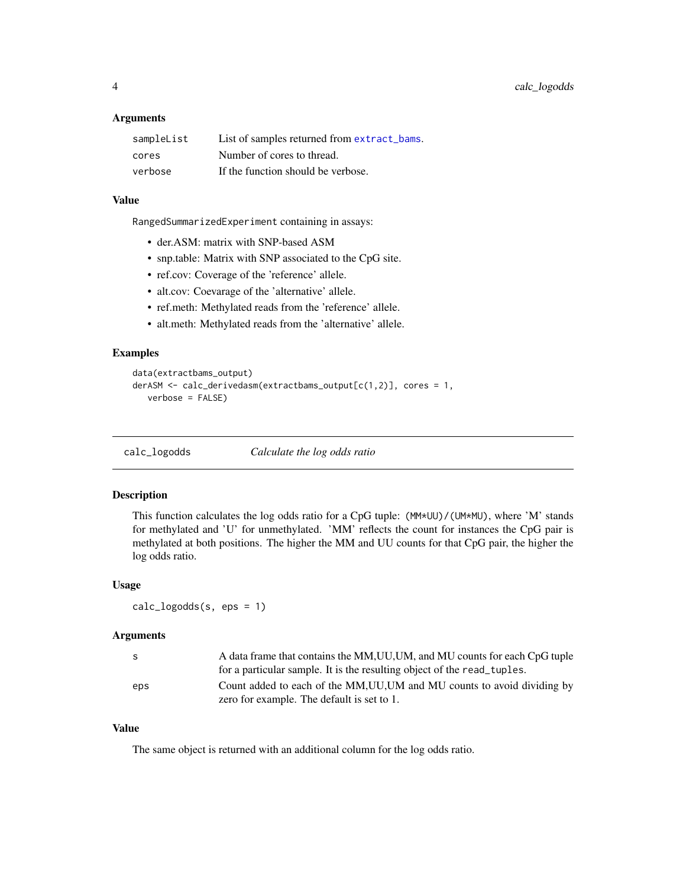<span id="page-3-0"></span>

| sampleList | List of samples returned from extract_bams. |
|------------|---------------------------------------------|
| cores      | Number of cores to thread.                  |
| verbose    | If the function should be verbose.          |

#### Value

RangedSummarizedExperiment containing in assays:

- der.ASM: matrix with SNP-based ASM
- snp.table: Matrix with SNP associated to the CpG site.
- ref.cov: Coverage of the 'reference' allele.
- alt.cov: Coevarage of the 'alternative' allele.
- ref.meth: Methylated reads from the 'reference' allele.
- alt.meth: Methylated reads from the 'alternative' allele.

# Examples

```
data(extractbams_output)
derASM <- calc_derivedasm(extractbams_output[c(1,2)], cores = 1,
  verbose = FALSE)
```
calc\_logodds *Calculate the log odds ratio*

# Description

This function calculates the log odds ratio for a CpG tuple: (MM\*UU)/(UM\*MU), where 'M' stands for methylated and 'U' for unmethylated. 'MM' reflects the count for instances the CpG pair is methylated at both positions. The higher the MM and UU counts for that CpG pair, the higher the log odds ratio.

#### Usage

```
calc_logodds(s, eps = 1)
```
# Arguments

| S.  | A data frame that contains the MM, UU, UM, and MU counts for each CpG tuple |
|-----|-----------------------------------------------------------------------------|
|     | for a particular sample. It is the resulting object of the read_tuples.     |
| eps | Count added to each of the MM, UU, UM and MU counts to avoid dividing by    |
|     | zero for example. The default is set to 1.                                  |

# Value

The same object is returned with an additional column for the log odds ratio.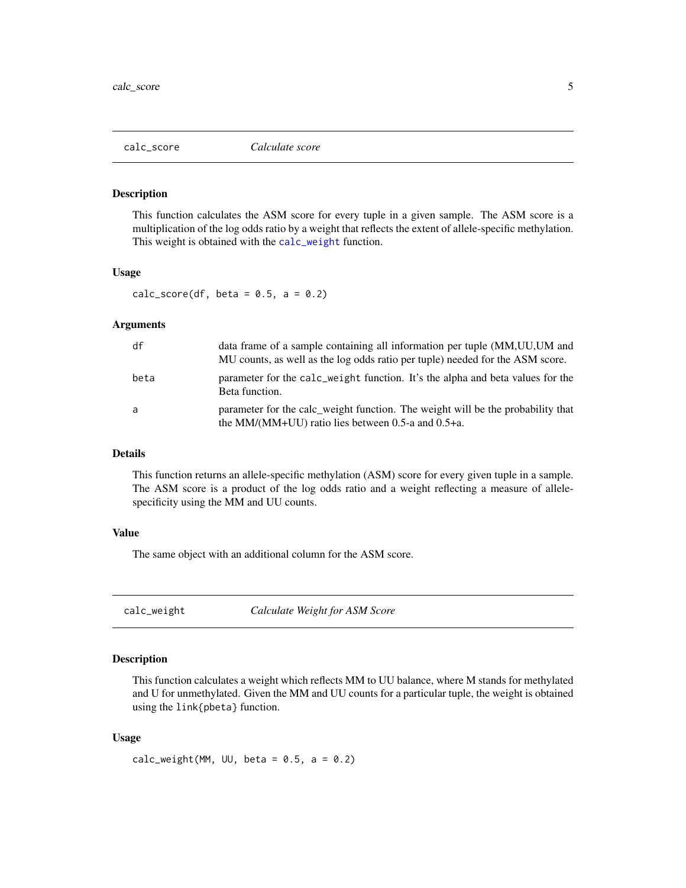<span id="page-4-0"></span>

#### Description

This function calculates the ASM score for every tuple in a given sample. The ASM score is a multiplication of the log odds ratio by a weight that reflects the extent of allele-specific methylation. This weight is obtained with the [calc\\_weight](#page-4-1) function.

# Usage

calc\_score(df, beta =  $0.5$ , a =  $0.2$ )

#### Arguments

| df   | data frame of a sample containing all information per tuple (MM, UU, UM and<br>MU counts, as well as the log odds ratio per tuple) needed for the ASM score. |
|------|--------------------------------------------------------------------------------------------------------------------------------------------------------------|
| beta | parameter for the calc_weight function. It's the alpha and beta values for the<br>Beta function.                                                             |
| a    | parameter for the calc_weight function. The weight will be the probability that<br>the MM/(MM+UU) ratio lies between $0.5$ -a and $0.5$ +a.                  |

# Details

This function returns an allele-specific methylation (ASM) score for every given tuple in a sample. The ASM score is a product of the log odds ratio and a weight reflecting a measure of allelespecificity using the MM and UU counts.

#### Value

The same object with an additional column for the ASM score.

<span id="page-4-1"></span>calc\_weight *Calculate Weight for ASM Score*

# Description

This function calculates a weight which reflects MM to UU balance, where M stands for methylated and U for unmethylated. Given the MM and UU counts for a particular tuple, the weight is obtained using the link{pbeta} function.

#### Usage

calc\_weight(MM, UU, beta =  $0.5$ , a =  $0.2$ )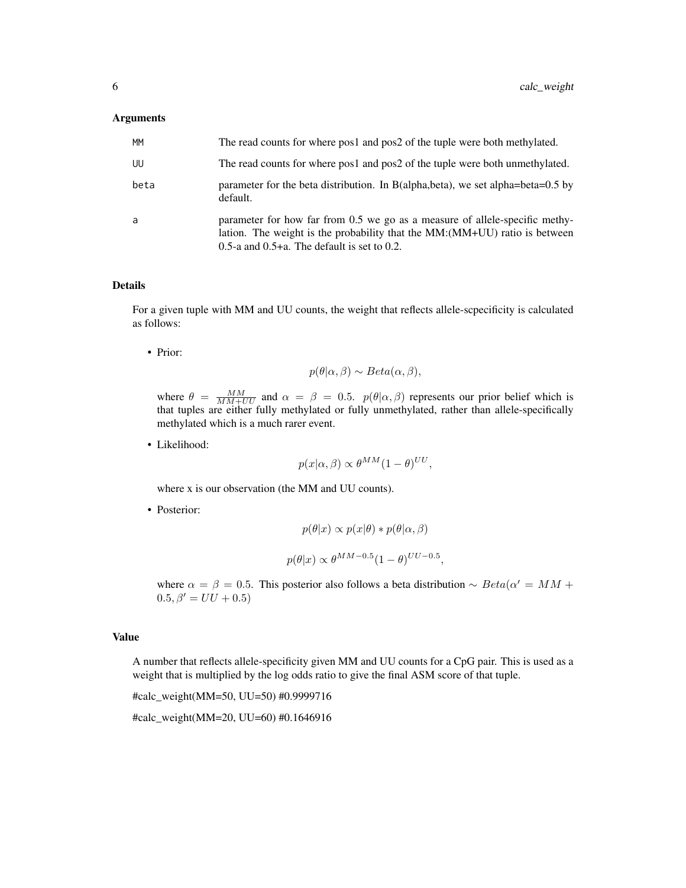| MM   | The read counts for where pos1 and pos2 of the tuple were both methylated.                                                                                                                                   |
|------|--------------------------------------------------------------------------------------------------------------------------------------------------------------------------------------------------------------|
| UU   | The read counts for where pos1 and pos2 of the tuple were both unmethylated.                                                                                                                                 |
| beta | parameter for the beta distribution. In B(alpha, beta), we set alpha=beta=0.5 by<br>default.                                                                                                                 |
| a    | parameter for how far from 0.5 we go as a measure of allele-specific methy-<br>lation. The weight is the probability that the MM: (MM+UU) ratio is between<br>0.5-a and $0.5+a$ . The default is set to 0.2. |

#### Details

For a given tuple with MM and UU counts, the weight that reflects allele-scpecificity is calculated as follows:

• Prior:

$$
p(\theta|\alpha,\beta) \sim Beta(\alpha,\beta),
$$

where  $\theta = \frac{MM}{MM+UU}$  and  $\alpha = \beta = 0.5$ .  $p(\theta|\alpha, \beta)$  represents our prior belief which is that tuples are either fully methylated or fully unmethylated, rather than allele-specifically methylated which is a much rarer event.

• Likelihood:

$$
p(x|\alpha, \beta) \propto \theta^{MM} (1-\theta)^{UU},
$$

where x is our observation (the MM and UU counts).

• Posterior:

$$
p(\theta|x) \propto p(x|\theta) * p(\theta|\alpha, \beta)
$$
  

$$
p(\theta|x) \propto \theta^{MM-0.5} (1-\theta)^{UU-0.5},
$$

where  $\alpha = \beta = 0.5$ . This posterior also follows a beta distribution  $\sim Beta(\alpha' = MM + \alpha')$  $0.5, \beta' = UU + 0.5$ )

# Value

A number that reflects allele-specificity given MM and UU counts for a CpG pair. This is used as a weight that is multiplied by the log odds ratio to give the final ASM score of that tuple.

#calc\_weight(MM=50, UU=50) #0.9999716

#calc\_weight(MM=20, UU=60) #0.1646916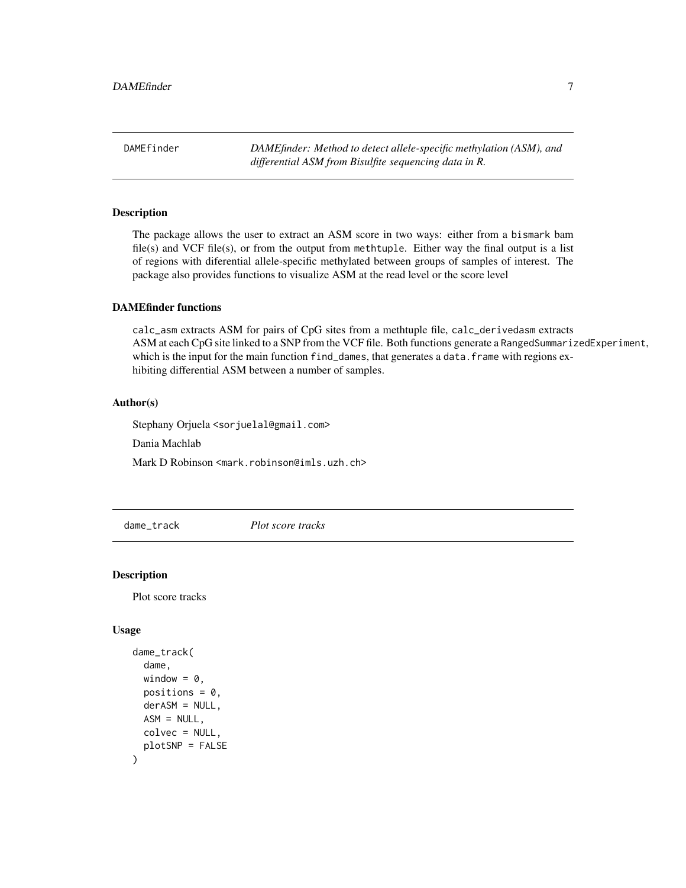<span id="page-6-0"></span>DAMEfinder *DAMEfinder: Method to detect allele-specific methylation (ASM), and differential ASM from Bisulfite sequencing data in R.*

# Description

The package allows the user to extract an ASM score in two ways: either from a bismark bam file(s) and VCF file(s), or from the output from methtuple. Either way the final output is a list of regions with diferential allele-specific methylated between groups of samples of interest. The package also provides functions to visualize ASM at the read level or the score level

# DAMEfinder functions

calc\_asm extracts ASM for pairs of CpG sites from a methtuple file, calc\_derivedasm extracts ASM at each CpG site linked to a SNP from the VCF file. Both functions generate a RangedSummarizedExperiment, which is the input for the main function find\_dames, that generates a data.frame with regions exhibiting differential ASM between a number of samples.

### Author(s)

Stephany Orjuela <sorjuelal@gmail.com>

Dania Machlab

Mark D Robinson <mark.robinson@imls.uzh.ch>

dame\_track *Plot score tracks*

#### Description

Plot score tracks

```
dame_track(
  dame,
 window = \theta,
 positions = 0.
  derASM = NULL,
 ASM = NULL,
 colvec = NULL,
 plotSNP = FALSE
)
```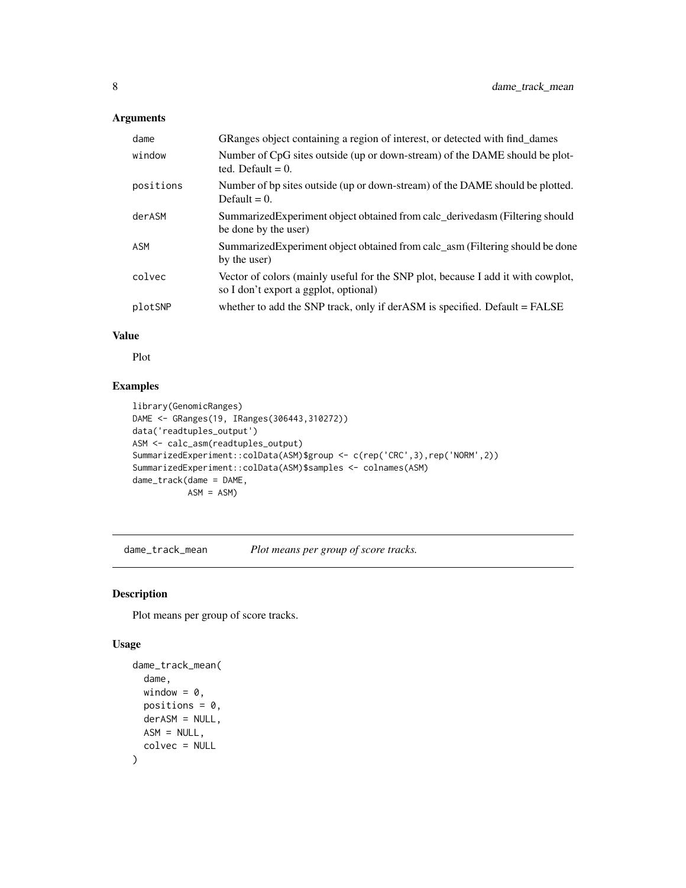<span id="page-7-0"></span>

| dame      | GRanges object containing a region of interest, or detected with find_dames                                               |
|-----------|---------------------------------------------------------------------------------------------------------------------------|
| window    | Number of CpG sites outside (up or down-stream) of the DAME should be plot-<br>ted. Default $= 0$ .                       |
| positions | Number of bp sites outside (up or down-stream) of the DAME should be plotted.<br>Default $= 0$ .                          |
| derASM    | SummarizedExperiment object obtained from calc_derivedasm (Filtering should<br>be done by the user)                       |
| ASM       | SummarizedExperiment object obtained from calc_asm (Filtering should be done<br>by the user)                              |
| colvec    | Vector of colors (mainly useful for the SNP plot, because I add it with cowplot,<br>so I don't export a ggplot, optional) |
| plotSNP   | whether to add the SNP track, only if derASM is specified. Default = FALSE                                                |

# Value

Plot

# Examples

```
library(GenomicRanges)
DAME <- GRanges(19, IRanges(306443,310272))
data('readtuples_output')
ASM <- calc_asm(readtuples_output)
SummarizedExperiment::colData(ASM)$group <- c(rep('CRC',3),rep('NORM',2))
SummarizedExperiment::colData(ASM)$samples <- colnames(ASM)
dame_track(dame = DAME,
           ASM = ASM
```
dame\_track\_mean *Plot means per group of score tracks.*

# Description

Plot means per group of score tracks.

```
dame_track_mean(
  dame,
 window = \theta,
 positions = 0,
  derASM = NULL,
 ASM = NULL,colvec = NULL
\mathcal{E}
```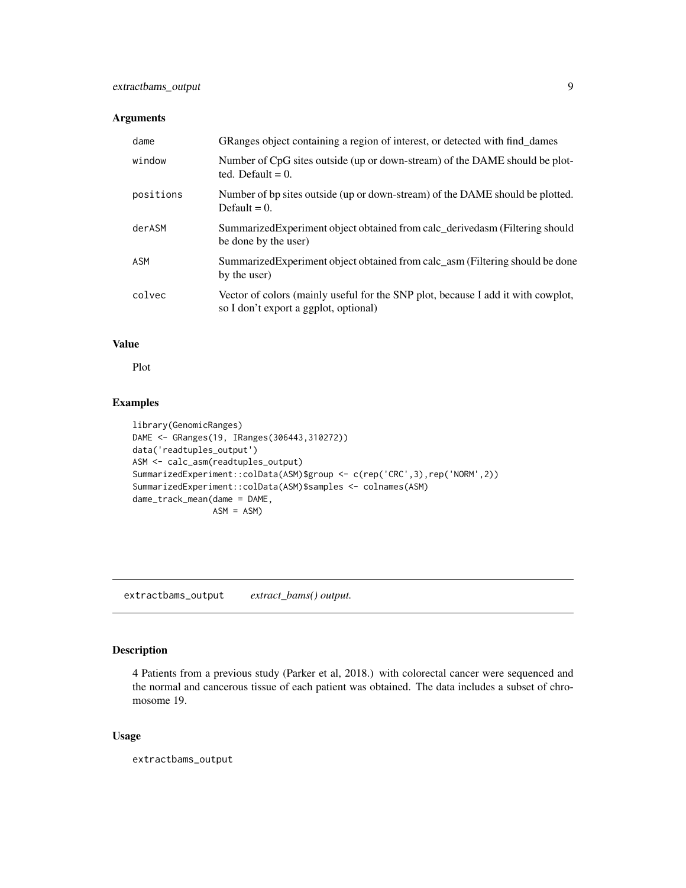<span id="page-8-0"></span>

| dame      | GRanges object containing a region of interest, or detected with find_dames                                               |
|-----------|---------------------------------------------------------------------------------------------------------------------------|
| window    | Number of CpG sites outside (up or down-stream) of the DAME should be plot-<br>ted. Default $= 0$ .                       |
| positions | Number of bp sites outside (up or down-stream) of the DAME should be plotted.<br>Default $= 0$ .                          |
| derASM    | Summarized Experiment object obtained from calc derived as a (Filtering should<br>be done by the user)                    |
| ASM       | Summarized Experiment object obtained from calc asm (Filtering should be done<br>by the user)                             |
| colvec    | Vector of colors (mainly useful for the SNP plot, because I add it with cowplot,<br>so I don't export a ggplot, optional) |

# Value

Plot

# Examples

```
library(GenomicRanges)
DAME <- GRanges(19, IRanges(306443,310272))
data('readtuples_output')
ASM <- calc_asm(readtuples_output)
SummarizedExperiment::colData(ASM)$group <- c(rep('CRC',3),rep('NORM',2))
SummarizedExperiment::colData(ASM)$samples <- colnames(ASM)
dame_track_mean(dame = DAME,
               ASM = ASM)
```
extractbams\_output *extract\_bams() output.*

# Description

4 Patients from a previous study (Parker et al, 2018.) with colorectal cancer were sequenced and the normal and cancerous tissue of each patient was obtained. The data includes a subset of chromosome 19.

# Usage

extractbams\_output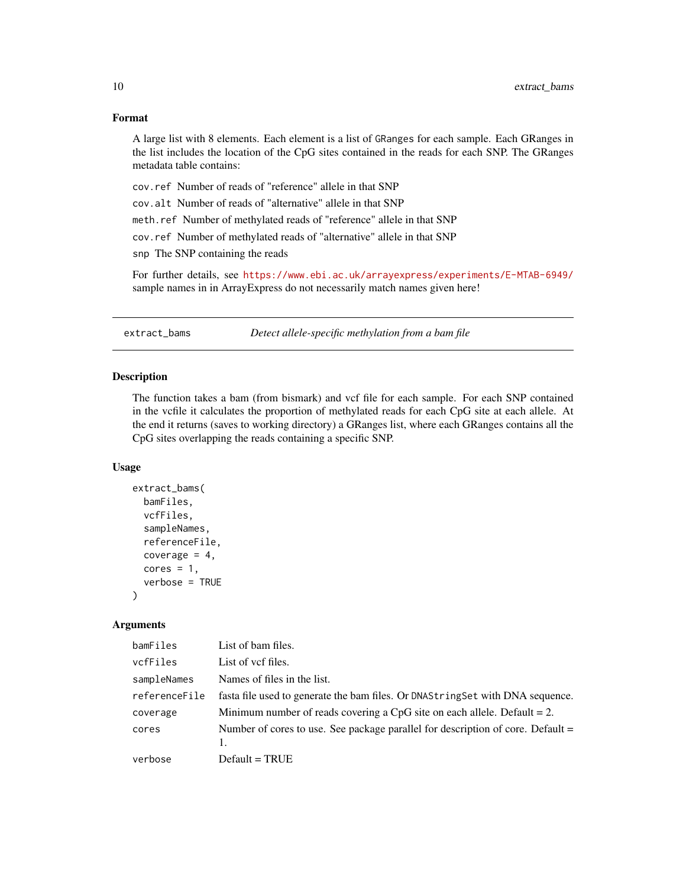# <span id="page-9-0"></span>Format

A large list with 8 elements. Each element is a list of GRanges for each sample. Each GRanges in the list includes the location of the CpG sites contained in the reads for each SNP. The GRanges metadata table contains:

- cov.ref Number of reads of "reference" allele in that SNP
- cov.alt Number of reads of "alternative" allele in that SNP

meth.ref Number of methylated reads of "reference" allele in that SNP

cov.ref Number of methylated reads of "alternative" allele in that SNP

snp The SNP containing the reads

For further details, see <https://www.ebi.ac.uk/arrayexpress/experiments/E-MTAB-6949/> sample names in in ArrayExpress do not necessarily match names given here!

<span id="page-9-1"></span>extract\_bams *Detect allele-specific methylation from a bam file*

# **Description**

The function takes a bam (from bismark) and vcf file for each sample. For each SNP contained in the vcfile it calculates the proportion of methylated reads for each CpG site at each allele. At the end it returns (saves to working directory) a GRanges list, where each GRanges contains all the CpG sites overlapping the reads containing a specific SNP.

# Usage

```
extract_bams(
 bamFiles,
  vcfFiles,
  sampleNames,
  referenceFile,
  coverage = 4,
  cores = 1,
  verbose = TRUE
)
```
#### Arguments

| bamFiles      | List of bam files.                                                              |
|---------------|---------------------------------------------------------------------------------|
| vcfFiles      | List of yef files.                                                              |
| sampleNames   | Names of files in the list.                                                     |
| referenceFile | fasta file used to generate the bam files. Or DNAString Set with DNA sequence.  |
| coverage      | Minimum number of reads covering a CpG site on each allele. Default $= 2$ .     |
| cores         | Number of cores to use. See package parallel for description of core. Default = |
| verbose       | $Default = TRUE$                                                                |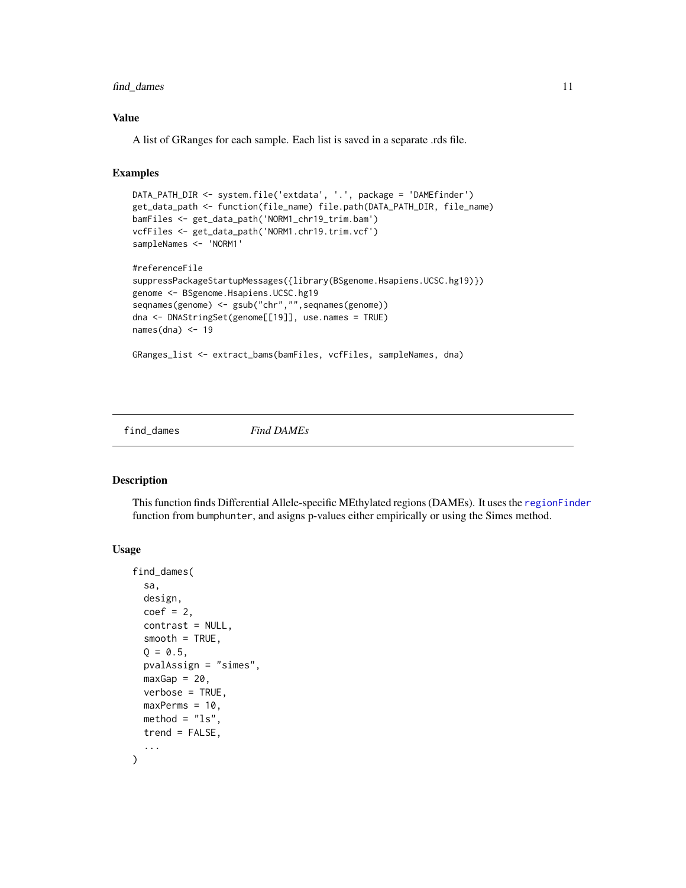# <span id="page-10-0"></span>find\_dames 11

# Value

A list of GRanges for each sample. Each list is saved in a separate .rds file.

# Examples

```
DATA_PATH_DIR <- system.file('extdata', '.', package = 'DAMEfinder')
get_data_path <- function(file_name) file.path(DATA_PATH_DIR, file_name)
bamFiles <- get_data_path('NORM1_chr19_trim.bam')
vcfFiles <- get_data_path('NORM1.chr19.trim.vcf')
sampleNames <- 'NORM1'
#referenceFile
suppressPackageStartupMessages({library(BSgenome.Hsapiens.UCSC.hg19)})
genome <- BSgenome.Hsapiens.UCSC.hg19
seqnames(genome) <- gsub("chr","",seqnames(genome))
dna <- DNAStringSet(genome[[19]], use.names = TRUE)
names(dna) <-19GRanges_list <- extract_bams(bamFiles, vcfFiles, sampleNames, dna)
```
find\_dames *Find DAMEs*

# Description

This function finds Differential Allele-specific MEthylated regions (DAMEs). It uses the [regionFinder](#page-0-0) function from bumphunter, and asigns p-values either empirically or using the Simes method.

```
find_dames(
  sa,
 design,
  coef = 2,
  contrast = NULL,
  smooth = TRUE,Q = 0.5,
 pvalAssign = "simes",
 maxGap = 20,
  verbose = TRUE,
 maxPerms = 10,
 method = "ls".
  trend = FALSE,...
)
```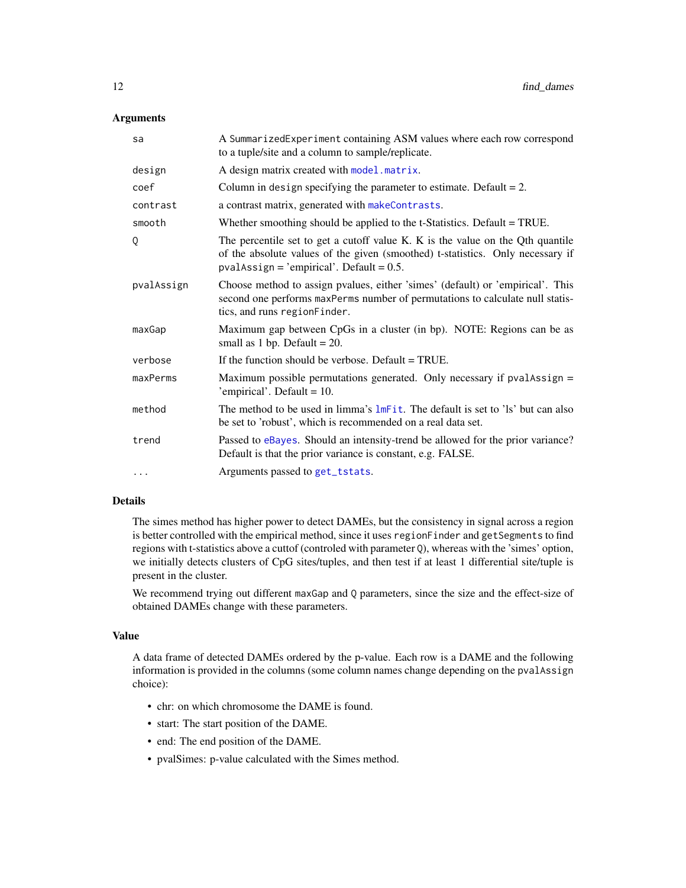<span id="page-11-0"></span>

| sa         | A SummarizedExperiment containing ASM values where each row correspond<br>to a tuple/site and a column to sample/replicate.                                                                                    |
|------------|----------------------------------------------------------------------------------------------------------------------------------------------------------------------------------------------------------------|
| design     | A design matrix created with model . matrix.                                                                                                                                                                   |
| coef       | Column in design specifying the parameter to estimate. Default $= 2$ .                                                                                                                                         |
| contrast   | a contrast matrix, generated with makeContrasts.                                                                                                                                                               |
| smooth     | Whether smoothing should be applied to the t-Statistics. Default = TRUE.                                                                                                                                       |
| 0          | The percentile set to get a cutoff value K. K is the value on the Qth quantile<br>of the absolute values of the given (smoothed) t-statistics. Only necessary if<br>$pvalAssign = 'empirical'. Default = 0.5.$ |
| pvalAssign | Choose method to assign pvalues, either 'simes' (default) or 'empirical'. This<br>second one performs maxPerms number of permutations to calculate null statis-<br>tics, and runs regionFinder.                |
| maxGap     | Maximum gap between CpGs in a cluster (in bp). NOTE: Regions can be as<br>small as 1 bp. Default = $20$ .                                                                                                      |
| verbose    | If the function should be verbose. Default $= TRUE$ .                                                                                                                                                          |
| maxPerms   | Maximum possible permutations generated. Only necessary if $pvalAssign =$<br>'empirical'. Default = $10$ .                                                                                                     |
| method     | The method to be used in limma's lmFit. The default is set to 'ls' but can also<br>be set to 'robust', which is recommended on a real data set.                                                                |
| trend      | Passed to eBayes. Should an intensity-trend be allowed for the prior variance?<br>Default is that the prior variance is constant, e.g. FALSE.                                                                  |
| $\cdots$   | Arguments passed to get_tstats.                                                                                                                                                                                |

# Details

The simes method has higher power to detect DAMEs, but the consistency in signal across a region is better controlled with the empirical method, since it uses regionFinder and getSegments to find regions with t-statistics above a cuttof (controled with parameter Q), whereas with the 'simes' option, we initially detects clusters of CpG sites/tuples, and then test if at least 1 differential site/tuple is present in the cluster.

We recommend trying out different maxGap and Q parameters, since the size and the effect-size of obtained DAMEs change with these parameters.

#### Value

A data frame of detected DAMEs ordered by the p-value. Each row is a DAME and the following information is provided in the columns (some column names change depending on the pvalAssign choice):

- chr: on which chromosome the DAME is found.
- start: The start position of the DAME.
- end: The end position of the DAME.
- pvalSimes: p-value calculated with the Simes method.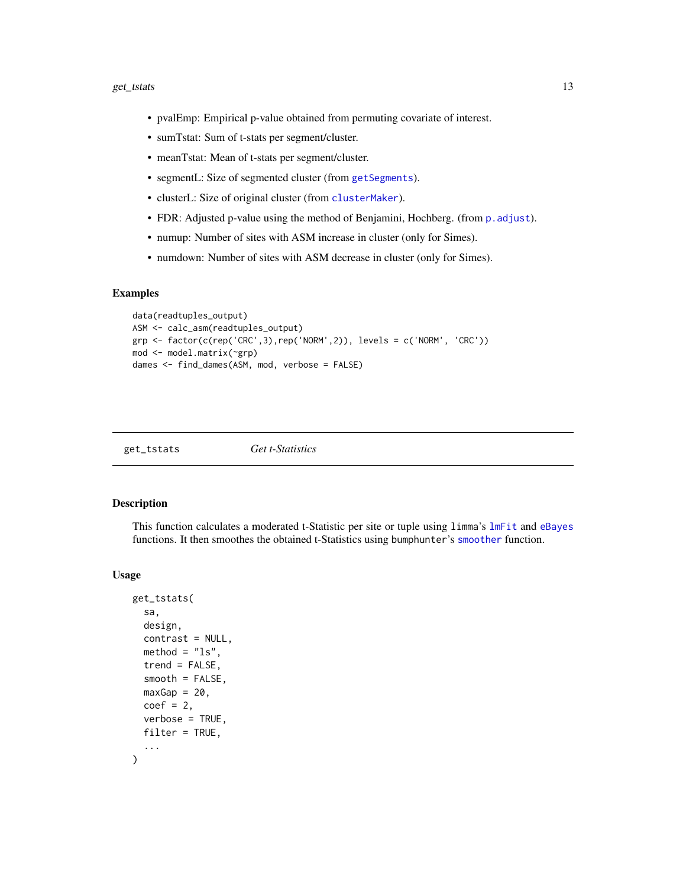#### <span id="page-12-0"></span>get\_tstats 13

- pvalEmp: Empirical p-value obtained from permuting covariate of interest.
- sumTstat: Sum of t-stats per segment/cluster.
- meanTstat: Mean of t-stats per segment/cluster.
- segmentL: Size of segmented cluster (from [getSegments](#page-0-0)).
- clusterL: Size of original cluster (from [clusterMaker](#page-0-0)).
- FDR: Adjusted p-value using the method of Benjamini, Hochberg. (from p. adjust).
- numup: Number of sites with ASM increase in cluster (only for Simes).
- numdown: Number of sites with ASM decrease in cluster (only for Simes).

#### Examples

```
data(readtuples_output)
ASM <- calc_asm(readtuples_output)
grp <- factor(c(rep('CRC',3),rep('NORM',2)), levels = c('NORM', 'CRC'))
mod <- model.matrix(~grp)
dames <- find_dames(ASM, mod, verbose = FALSE)
```
<span id="page-12-1"></span>get\_tstats *Get t-Statistics*

#### Description

This function calculates a moderated t-Statistic per site or tuple using limma's [lmFit](#page-0-0) and [eBayes](#page-0-0) functions. It then smoothes the obtained t-Statistics using bumphunter's [smoother](#page-0-0) function.

```
get_tstats(
  sa,
  design,
  contrast = NULL,
 \text{method} = "ls",trend = FALSE,smooth = FALSE,
 maxGap = 20,
 coef = 2,
  verbose = TRUE,
 filter = TRUE,...
)
```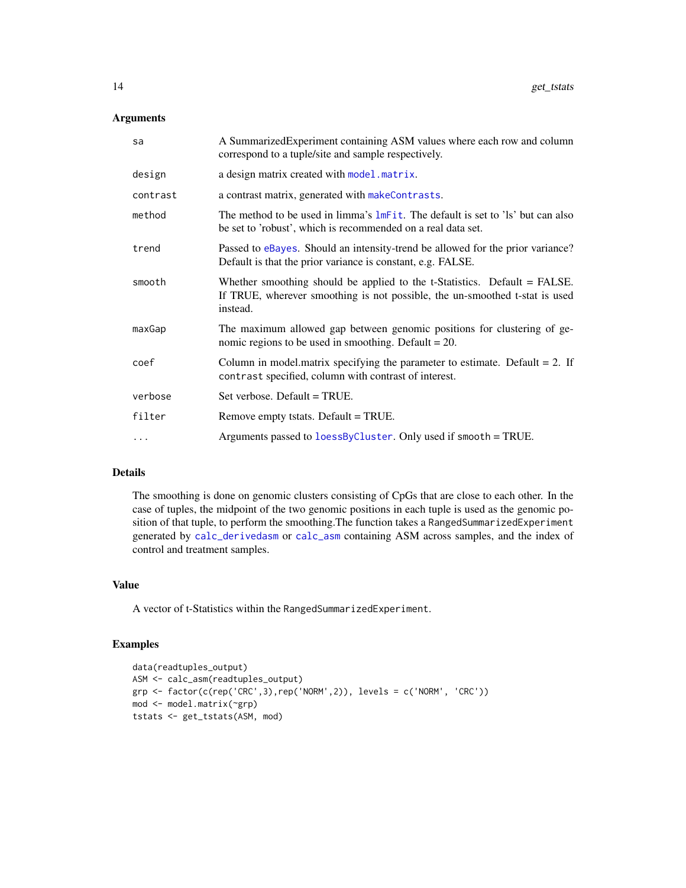<span id="page-13-0"></span>

| sa       | A SummarizedExperiment containing ASM values where each row and column<br>correspond to a tuple/site and sample respectively.                                           |
|----------|-------------------------------------------------------------------------------------------------------------------------------------------------------------------------|
| design   | a design matrix created with model matrix.                                                                                                                              |
| contrast | a contrast matrix, generated with makeContrasts.                                                                                                                        |
| method   | The method to be used in limma's lmFit. The default is set to 'ls' but can also<br>be set to 'robust', which is recommended on a real data set.                         |
| trend    | Passed to eBayes. Should an intensity-trend be allowed for the prior variance?<br>Default is that the prior variance is constant, e.g. FALSE.                           |
| smooth   | Whether smoothing should be applied to the $t$ -Statistics. Default = FALSE.<br>If TRUE, wherever smoothing is not possible, the un-smoothed t-stat is used<br>instead. |
| maxGap   | The maximum allowed gap between genomic positions for clustering of ge-<br>nomic regions to be used in smoothing. Default $= 20$ .                                      |
| coef     | Column in model matrix specifying the parameter to estimate. Default $= 2$ . If<br>contrast specified, column with contrast of interest.                                |
| verbose  | Set verbose. Default = TRUE.                                                                                                                                            |
| filter   | Remove empty tstats. Default = TRUE.                                                                                                                                    |
| $\ddots$ | Arguments passed to loessByCluster. Only used if smooth = TRUE.                                                                                                         |
|          |                                                                                                                                                                         |

# Details

The smoothing is done on genomic clusters consisting of CpGs that are close to each other. In the case of tuples, the midpoint of the two genomic positions in each tuple is used as the genomic position of that tuple, to perform the smoothing.The function takes a RangedSummarizedExperiment generated by [calc\\_derivedasm](#page-2-1) or [calc\\_asm](#page-1-1) containing ASM across samples, and the index of control and treatment samples.

# Value

A vector of t-Statistics within the RangedSummarizedExperiment.

# Examples

```
data(readtuples_output)
ASM <- calc_asm(readtuples_output)
grp \leftarrow factor(c(rep('CRC',3),rep('NORM',2)), levels = c('NORM', 'CRC'))mod <- model.matrix(~grp)
tstats <- get_tstats(ASM, mod)
```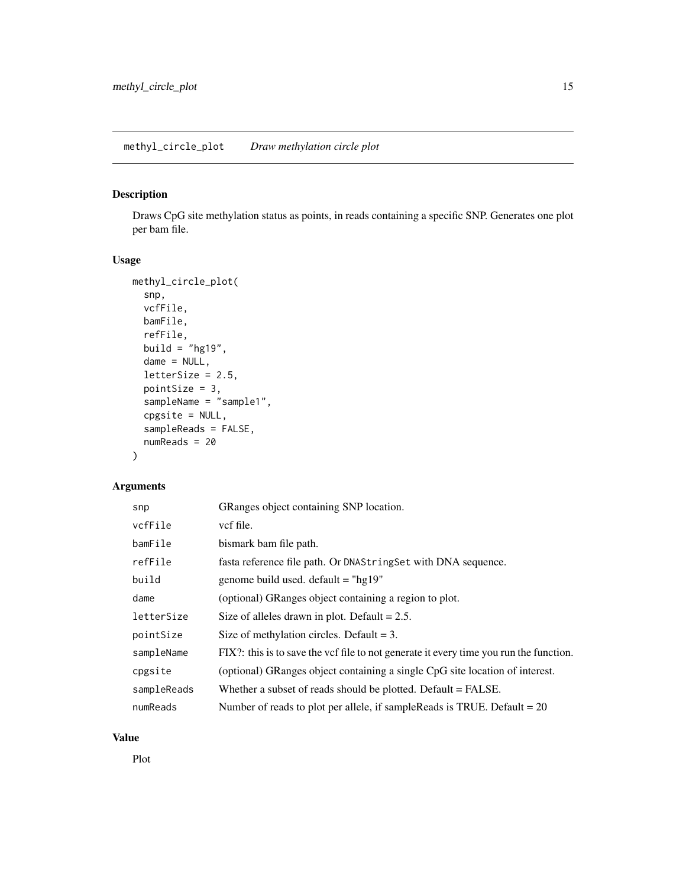# <span id="page-14-0"></span>Description

Draws CpG site methylation status as points, in reads containing a specific SNP. Generates one plot per bam file.

# Usage

```
methyl_circle_plot(
  snp,
  vcfFile,
  bamFile,
  refFile,
  build = "hg19",
  dame = NULL,
  letterSize = 2.5,
  pointSize = 3,
  sampleName = "sample1",
  cpgsite = NULL,
  sampleReads = FALSE,
  numReads = 20
)
```
# Arguments

| snp         | GRanges object containing SNP location.                                                |
|-------------|----------------------------------------------------------------------------------------|
| vcfFile     | vcf file.                                                                              |
| bamFile     | bismark bam file path.                                                                 |
| refFile     | fasta reference file path. Or DNAString Set with DNA sequence.                         |
| build       | genome build used. default = " $hg19"$                                                 |
| dame        | (optional) GRanges object containing a region to plot.                                 |
| letterSize  | Size of alleles drawn in plot. Default $= 2.5$ .                                       |
| pointSize   | Size of methylation circles. Default $= 3$ .                                           |
| sampleName  | FIX?: this is to save the vcf file to not generate it every time you run the function. |
| cpgsite     | (optional) GRanges object containing a single CpG site location of interest.           |
| sampleReads | Whether a subset of reads should be plotted. Default = FALSE.                          |
| numReads    | Number of reads to plot per allele, if sample Reads is TRUE. Default $= 20$            |

# Value

Plot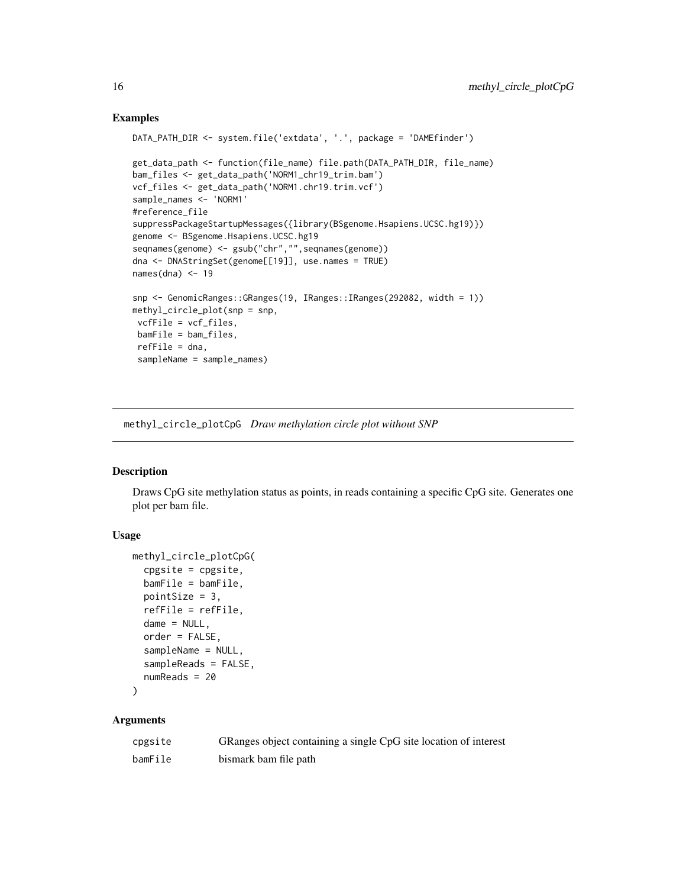# Examples

```
DATA_PATH_DIR <- system.file('extdata', '.', package = 'DAMEfinder')
get_data_path <- function(file_name) file.path(DATA_PATH_DIR, file_name)
bam_files <- get_data_path('NORM1_chr19_trim.bam')
vcf_files <- get_data_path('NORM1.chr19.trim.vcf')
sample_names <- 'NORM1'
#reference_file
suppressPackageStartupMessages({library(BSgenome.Hsapiens.UCSC.hg19)})
genome <- BSgenome.Hsapiens.UCSC.hg19
seqnames(genome) <- gsub("chr","", seqnames(genome))
dna <- DNAStringSet(genome[[19]], use.names = TRUE)
names(dna) <-19snp <- GenomicRanges::GRanges(19, IRanges::IRanges(292082, width = 1))
methyl_circle_plot(snp = snp,
vcfFile = vcf_files,
bamFile = bam_files,
 refFile = dna,
 sampleName = sample_names)
```
methyl\_circle\_plotCpG *Draw methylation circle plot without SNP*

# Description

Draws CpG site methylation status as points, in reads containing a specific CpG site. Generates one plot per bam file.

# Usage

```
methyl_circle_plotCpG(
  cpgsite = cpgsite,
  bamFile = bamFile,
  pointSize = 3,
  refFile = refFile,
  dame = NULL,order = FALSE,
  sampleName = NULL,
  sampleReads = FALSE,
  numReads = 20
\mathcal{L}
```
# Arguments

| cpgsite | GRanges object containing a single CpG site location of interest |
|---------|------------------------------------------------------------------|
| bamFile | bismark bam file path                                            |

<span id="page-15-0"></span>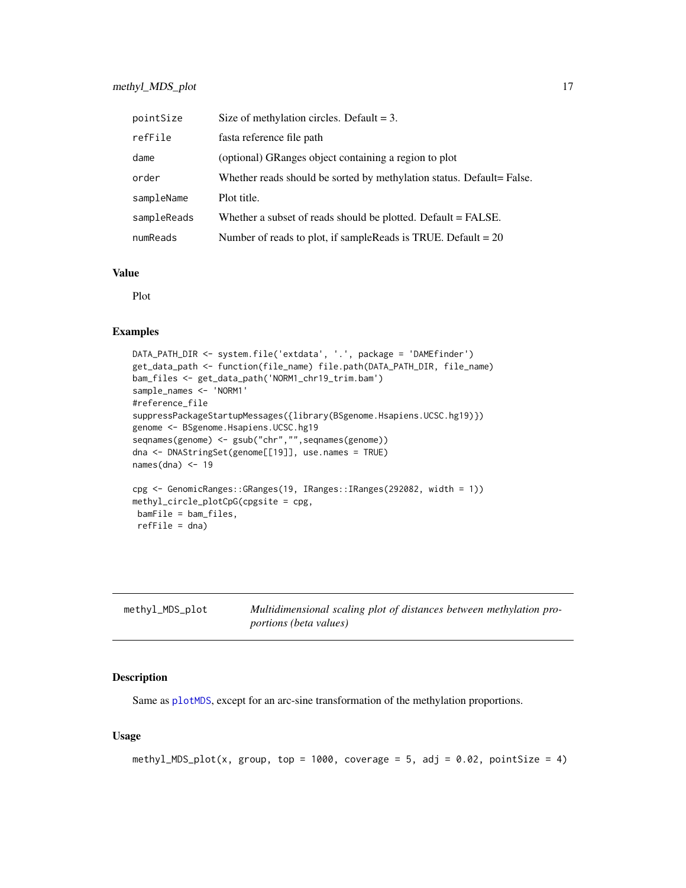<span id="page-16-0"></span>

| pointSize   | Size of methylation circles. Default $= 3$ .                          |
|-------------|-----------------------------------------------------------------------|
| refFile     | fasta reference file path                                             |
| dame        | (optional) GRanges object containing a region to plot                 |
| order       | Whether reads should be sorted by methylation status. Default= False. |
| sampleName  | Plot title.                                                           |
| sampleReads | Whether a subset of reads should be plotted. Default = FALSE.         |
| numReads    | Number of reads to plot, if sampleReads is TRUE. Default = $20$       |

# Value

Plot

# Examples

```
DATA_PATH_DIR <- system.file('extdata', '.', package = 'DAMEfinder')
get_data_path <- function(file_name) file.path(DATA_PATH_DIR, file_name)
bam_files <- get_data_path('NORM1_chr19_trim.bam')
sample_names <- 'NORM1'
#reference_file
suppressPackageStartupMessages({library(BSgenome.Hsapiens.UCSC.hg19)})
genome <- BSgenome.Hsapiens.UCSC.hg19
seqnames(genome) <- gsub("chr","",seqnames(genome))
dna <- DNAStringSet(genome[[19]], use.names = TRUE)
names(dna) <-19cpg <- GenomicRanges::GRanges(19, IRanges::IRanges(292082, width = 1))
methyl_circle_plotCpG(cpgsite = cpg,
bamFile = bam_files,
refFile = dna)
```

| methyl_MDS_plot | Multidimensional scaling plot of distances between methylation pro- |
|-----------------|---------------------------------------------------------------------|
|                 | <i>portions (beta values)</i>                                       |

# Description

Same as [plotMDS](#page-0-0), except for an arc-sine transformation of the methylation proportions.

```
methyl_MDS_plot(x, group, top = 1000, coverage = 5, adj = 0.02, pointSize = 4)
```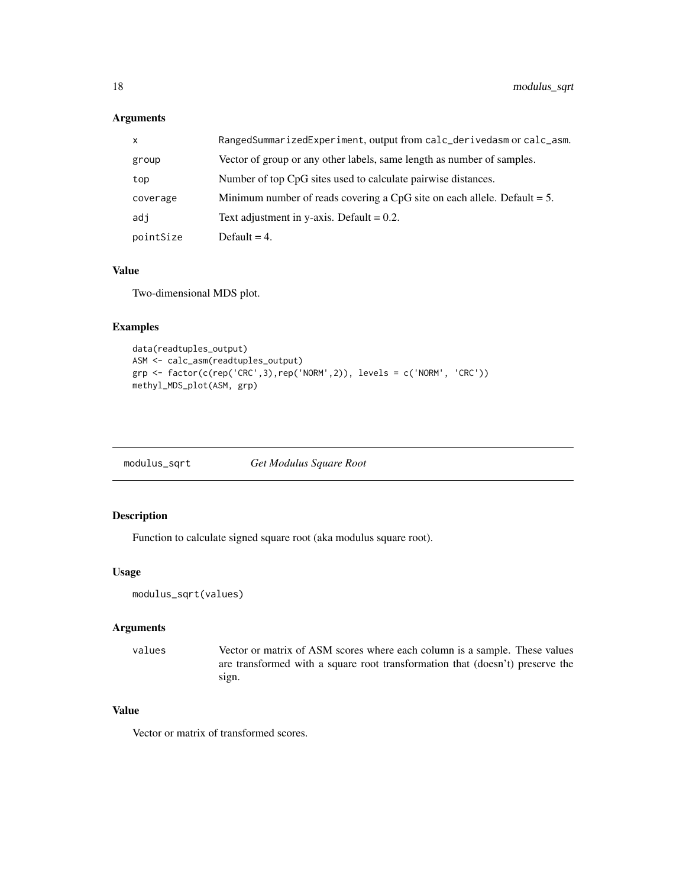<span id="page-17-0"></span>

| X         | RangedSummarizedExperiment, output from calc_derivedasm or calc_asm.        |
|-----------|-----------------------------------------------------------------------------|
| group     | Vector of group or any other labels, same length as number of samples.      |
| top       | Number of top CpG sites used to calculate pairwise distances.               |
| coverage  | Minimum number of reads covering a CpG site on each allele. Default $= 5$ . |
| adi       | Text adjustment in y-axis. Default $= 0.2$ .                                |
| pointSize | Default $= 4$ .                                                             |

#### Value

Two-dimensional MDS plot.

# Examples

```
data(readtuples_output)
ASM <- calc_asm(readtuples_output)
grp <- factor(c(rep('CRC',3),rep('NORM',2)), levels = c('NORM', 'CRC'))
methyl_MDS_plot(ASM, grp)
```
modulus\_sqrt *Get Modulus Square Root*

# Description

Function to calculate signed square root (aka modulus square root).

## Usage

```
modulus_sqrt(values)
```
# Arguments

```
values Vector or matrix of ASM scores where each column is a sample. These values
                 are transformed with a square root transformation that (doesn't) preserve the
                 sign.
```
# Value

Vector or matrix of transformed scores.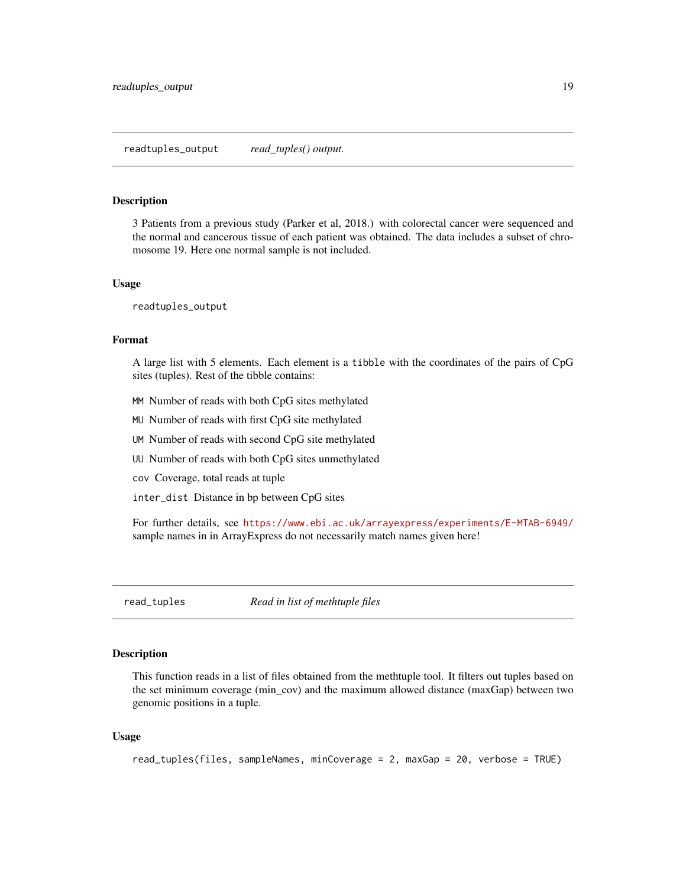#### <span id="page-18-0"></span>**Description**

3 Patients from a previous study (Parker et al, 2018.) with colorectal cancer were sequenced and the normal and cancerous tissue of each patient was obtained. The data includes a subset of chromosome 19. Here one normal sample is not included.

#### Usage

readtuples\_output

#### Format

A large list with 5 elements. Each element is a tibble with the coordinates of the pairs of CpG sites (tuples). Rest of the tibble contains:

- MM Number of reads with both CpG sites methylated
- MU Number of reads with first CpG site methylated
- UM Number of reads with second CpG site methylated
- UU Number of reads with both CpG sites unmethylated
- cov Coverage, total reads at tuple
- inter\_dist Distance in bp between CpG sites

For further details, see <https://www.ebi.ac.uk/arrayexpress/experiments/E-MTAB-6949/> sample names in in ArrayExpress do not necessarily match names given here!

<span id="page-18-1"></span>read\_tuples *Read in list of methtuple files*

#### Description

This function reads in a list of files obtained from the methtuple tool. It filters out tuples based on the set minimum coverage (min\_cov) and the maximum allowed distance (maxGap) between two genomic positions in a tuple.

```
read_tuples(files, sampleNames, minCoverage = 2, maxGap = 20, verbose = TRUE)
```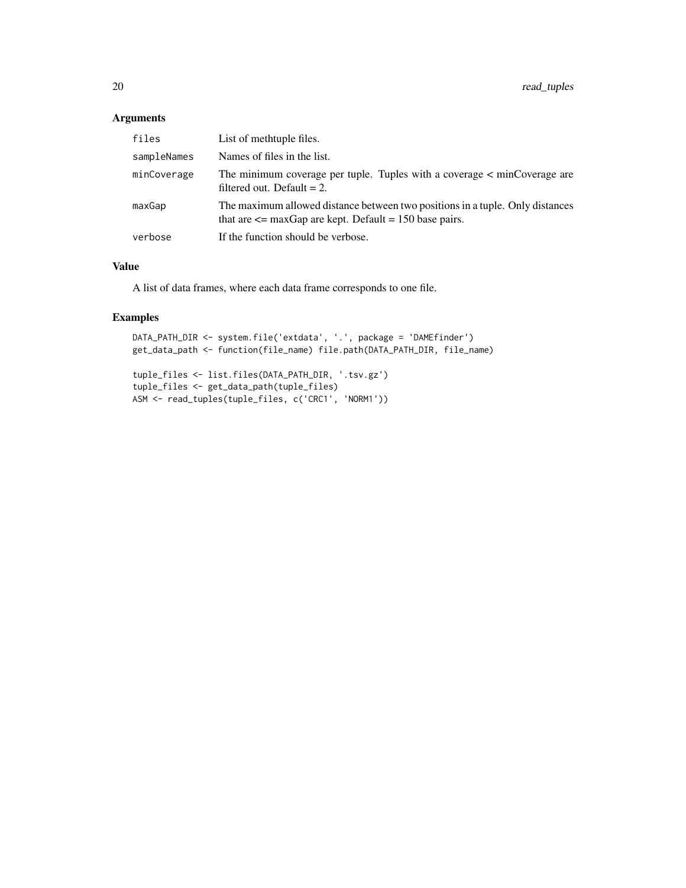| files       | List of methtuple files.                                                                                                                    |
|-------------|---------------------------------------------------------------------------------------------------------------------------------------------|
| sampleNames | Names of files in the list.                                                                                                                 |
| minCoverage | The minimum coverage per tuple. Tuples with a coverage < minCoverage are<br>filtered out. Default $= 2$ .                                   |
| maxGap      | The maximum allowed distance between two positions in a tuple. Only distances<br>that are $\leq$ maxGap are kept. Default = 150 base pairs. |
| verbose     | If the function should be verbose.                                                                                                          |

# Value

A list of data frames, where each data frame corresponds to one file.

# Examples

```
DATA_PATH_DIR <- system.file('extdata', '.', package = 'DAMEfinder')
get_data_path <- function(file_name) file.path(DATA_PATH_DIR, file_name)
```

```
tuple_files <- list.files(DATA_PATH_DIR, '.tsv.gz')
tuple_files <- get_data_path(tuple_files)
ASM <- read_tuples(tuple_files, c('CRC1', 'NORM1'))
```